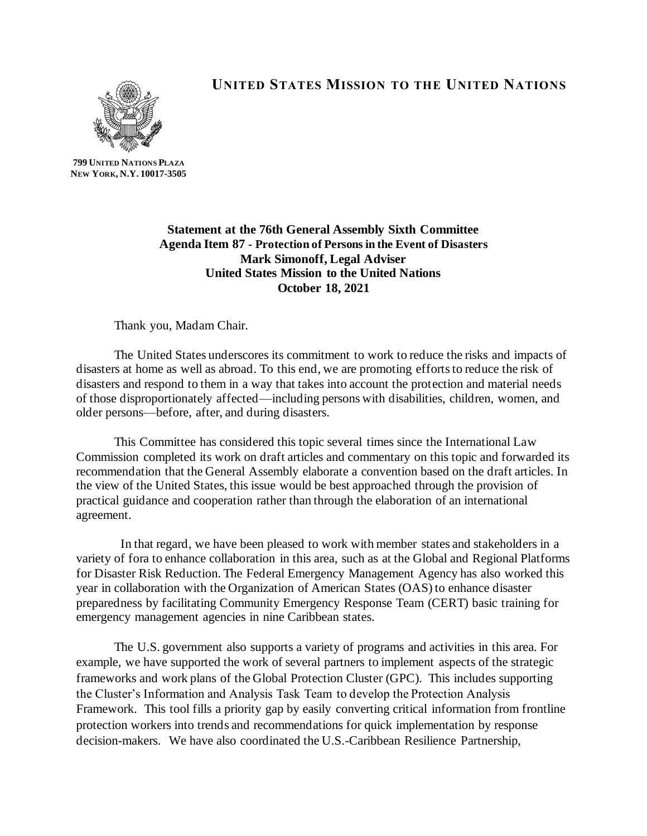

**UNITED STATES MISSION TO THE UNITED NATIONS**

**799 UNITED NATIONS PLAZA NEW YORK, N.Y. 10017-3505**

> **Statement at the 76th General Assembly Sixth Committee Agenda Item 87 - Protection of Persons in the Event of Disasters Mark Simonoff, Legal Adviser United States Mission to the United Nations October 18, 2021**

Thank you, Madam Chair.

The United States underscores its commitment to work to reduce the risks and impacts of disasters at home as well as abroad. To this end, we are promoting efforts to reduce the risk of disasters and respond to them in a way that takes into account the protection and material needs of those disproportionately affected—including persons with disabilities, children, women, and older persons—before, after, and during disasters.

This Committee has considered this topic several times since the International Law Commission completed its work on draft articles and commentary on this topic and forwarded its recommendation that the General Assembly elaborate a convention based on the draft articles. In the view of the United States, this issue would be best approached through the provision of practical guidance and cooperation rather than through the elaboration of an international agreement.

 In that regard, we have been pleased to work with member states and stakeholders in a variety of fora to enhance collaboration in this area, such as at the Global and Regional Platforms for Disaster Risk Reduction. The Federal Emergency Management Agency has also worked this year in collaboration with the Organization of American States (OAS) to enhance disaster preparedness by facilitating Community Emergency Response Team (CERT) basic training for emergency management agencies in nine Caribbean states.

The U.S. government also supports a variety of programs and activities in this area. For example, we have supported the work of several partners to implement aspects of the strategic frameworks and work plans of the Global Protection Cluster (GPC). This includes supporting the Cluster's Information and Analysis Task Team to develop the Protection Analysis Framework. This tool fills a priority gap by easily converting critical information from frontline protection workers into trends and recommendations for quick implementation by response decision-makers. We have also coordinated the U.S.-Caribbean Resilience Partnership,